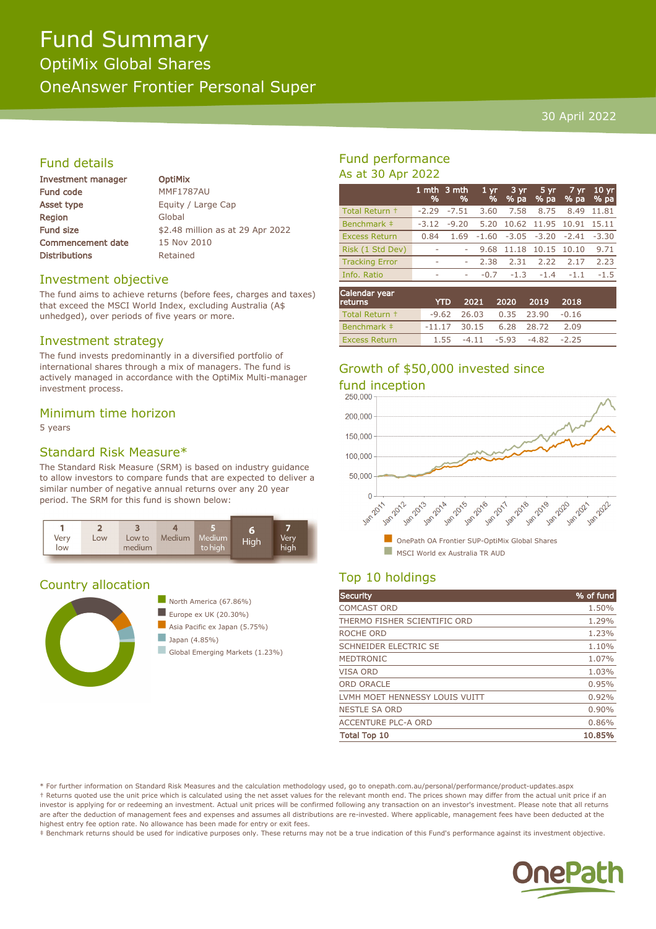# Fund Summary

OptiMix Global Shares OneAnswer Frontier Personal Super

#### 30 April 2022

#### Fund details

| <b>Investment manager</b> |
|---------------------------|
| <b>Fund code</b>          |
| <b>Asset type</b>         |
| Region                    |
| <b>Fund size</b>          |
| <b>Commencement date</b>  |
| <b>Distributions</b>      |

**OptiMix MMF1787AU** Equity / Large Cap Global \$2.48 million as at 29 Apr 2022 15 Nov 2010 Retained

#### Investment objective

The fund aims to achieve returns (before fees, charges and taxes) that exceed the MSCI World Index, excluding Australia (A\$ unhedged), over periods of five years or more.

#### Investment strategy

The fund invests predominantly in a diversified portfolio of international shares through a mix of managers. The fund is actively managed in accordance with the OptiMix Multi-manager investment process.

#### Minimum time horizon

5 years

#### Standard Risk Measure\*

The Standard Risk Measure (SRM) is based on industry guidance to allow investors to compare funds that are expected to deliver a similar number of negative annual returns over any 20 year period. The SRM for this fund is shown below:



#### Country allocation



#### Fund performance As at 30 Apr 2022

|                       | %                        | 1 mth $3$ mth<br>% | 1 <sub>vr</sub><br>$\frac{9}{6}$ | 3 yr<br>% pa | 5 yr<br>% pa        | 7 yr<br>% pa | 10 <sub>yr</sub><br>% pa |
|-----------------------|--------------------------|--------------------|----------------------------------|--------------|---------------------|--------------|--------------------------|
| Total Return +        | $-2.29$                  | $-7.51$            | 3.60                             | 7.58         | 8.75                | 8.49         | 11.81                    |
| Benchmark ‡           | $-3.12$                  | $-9.20$            | 5.20                             |              | 10.62 11.95 10.91   |              | 15.11                    |
| <b>Excess Return</b>  | 0.84                     | 1.69               | $-1.60$                          |              | $-3.05 -3.20 -2.41$ |              | $-3.30$                  |
| Risk (1 Std Dev)      | $\sim$                   |                    | 9.68                             | 11.18        | 10.15 10.10         |              | 9.71                     |
| <b>Tracking Error</b> | $\overline{\phantom{a}}$ |                    | 2.38                             | 2.31         | 2.22                | 2.17         | 2.23                     |
| Info, Ratio           | -                        | ٠                  | $-0.7$                           | $-1.3$       | $-1.4$              | $-1.1$       | $-1.5$                   |
| Calandau waan         |                          |                    |                                  |              |                     |              |                          |

| Calendar year<br><b>returns</b> | <b>YTD</b>                |  | 2021 2020 2019 2018              |      |  |
|---------------------------------|---------------------------|--|----------------------------------|------|--|
| Total Return +                  |                           |  | $-9.62$ 26.03 0.35 23.90 $-0.16$ |      |  |
| Benchmark #                     | $-11.17$ 30.15 6.28 28.72 |  |                                  | 2.09 |  |
| <b>Excess Return</b>            |                           |  | $1.55 -4.11 -5.93 -4.82 -2.25$   |      |  |

## Growth of \$50,000 invested since



#### Top 10 holdings

| Security                       | % of fund |
|--------------------------------|-----------|
| <b>COMCAST ORD</b>             | 1.50%     |
| THERMO FISHER SCIENTIFIC ORD   | 1.29%     |
| ROCHE ORD                      | 1.23%     |
| SCHNEIDER ELECTRIC SE          | 1.10%     |
| <b>MEDTRONIC</b>               | 1.07%     |
| <b>VISA ORD</b>                | 1.03%     |
| <b>ORD ORACLE</b>              | 0.95%     |
| LVMH MOET HENNESSY LOUIS VUITT | 0.92%     |
| <b>NESTLE SA ORD</b>           | 0.90%     |
| <b>ACCENTURE PLC-A ORD</b>     | 0.86%     |
| <b>Total Top 10</b>            | 10.85%    |

\* For further information on Standard Risk Measures and the calculation methodology used, go to onepath.com.au/personal/performance/product-updates.aspx † Returns quoted use the unit price which is calculated using the net asset values for the relevant month end. The prices shown may differ from the actual unit price if an investor is applying for or redeeming an investment. Actual unit prices will be confirmed following any transaction on an investor's investment. Please note that all returns are after the deduction of management fees and expenses and assumes all distributions are re-invested. Where applicable, management fees have been deducted at the highest entry fee option rate. No allowance has been made for entry or exit fees.

‡ Benchmark returns should be used for indicative purposes only. These returns may not be a true indication of this Fund's performance against its investment objective.